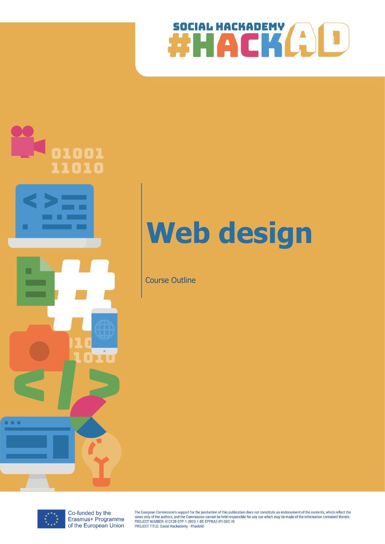



# **Web design**

Course Outline



Co-funded by the Erasmus+ Programme of the European Union

The European Commission's support for the production of this publication does not constitute an endorsement of the contents, which reflect the The authors, and the Commission cannot be held responsible for any use which may be made of the information contained therein<br>PROJECT NUMBER: 612128-EPP-1-2019-1-BE-EPPKA3-IPI-SOC-IN PROJECT TITLE: Social Hackademy - #hackAD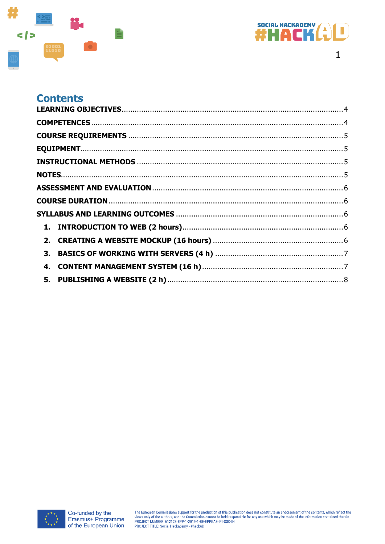



# **Contents**

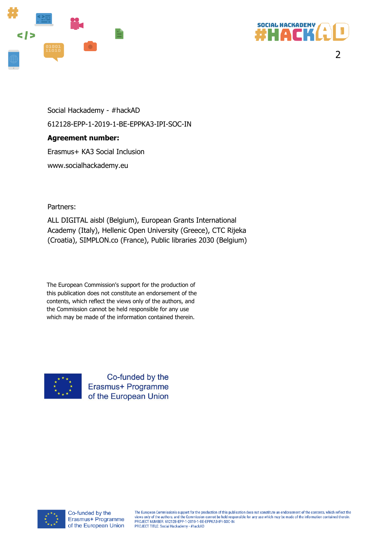



2

Social Hackademy - #hackAD 612128-EPP-1-2019-1-BE-EPPKA3-IPI-SOC-IN **Agreement number:**  Erasmus+ KA3 Social Inclusion www.socialhackademy.eu

Partners:

ALL DIGITAL aisbl (Belgium), European Grants International Academy (Italy), Hellenic Open University (Greece), CTC Rijeka (Croatia), SIMPLON.co (France), Public libraries 2030 (Belgium)

The European Commission's support for the production of this publication does not constitute an endorsement of the contents, which reflect the views only of the authors, and the Commission cannot be held responsible for any use which may be made of the information contained therein.



Co-funded by the Erasmus+ Programme of the European Union

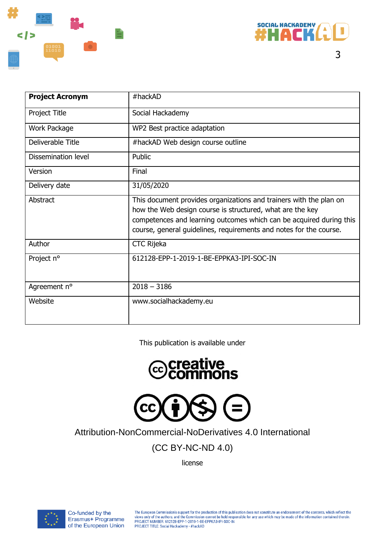



| <b>Project Acronym</b> | $#$ hackAD                                                                                                                                                                                                                                                                   |
|------------------------|------------------------------------------------------------------------------------------------------------------------------------------------------------------------------------------------------------------------------------------------------------------------------|
| Project Title          | Social Hackademy                                                                                                                                                                                                                                                             |
| Work Package           | WP2 Best practice adaptation                                                                                                                                                                                                                                                 |
| Deliverable Title      | #hackAD Web design course outline                                                                                                                                                                                                                                            |
| Dissemination level    | Public                                                                                                                                                                                                                                                                       |
| Version                | Final                                                                                                                                                                                                                                                                        |
| Delivery date          | 31/05/2020                                                                                                                                                                                                                                                                   |
| Abstract               | This document provides organizations and trainers with the plan on<br>how the Web design course is structured, what are the key<br>competences and learning outcomes which can be acquired during this<br>course, general guidelines, requirements and notes for the course. |
| Author                 | <b>CTC Rijeka</b>                                                                                                                                                                                                                                                            |
| Project n°             | 612128-EPP-1-2019-1-BE-EPPKA3-IPI-SOC-IN                                                                                                                                                                                                                                     |
| Agreement n°           | $2018 - 3186$                                                                                                                                                                                                                                                                |
| Website                | www.socialhackademy.eu                                                                                                                                                                                                                                                       |

This publication is available under





Attribution-NonCommercial-NoDerivatives 4.0 International

(CC BY-NC-ND 4.0)

license



The European Commission's support for the production of this publication does not constitute an endorsement of the contents, which reflect the views only of the authors, and the Commission cannot be held responsible for an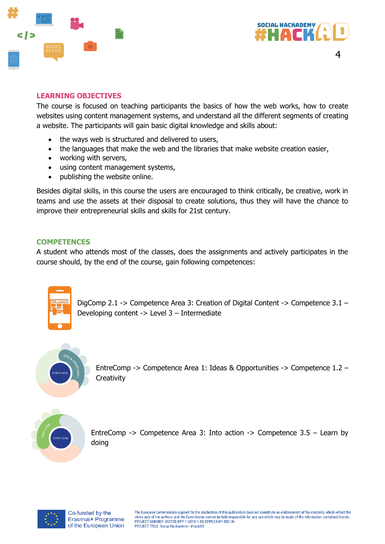



#### <span id="page-4-0"></span>**LEARNING OBJECTIVES**

The course is focused on teaching participants the basics of how the web works, how to create websites using content management systems, and understand all the different segments of creating a website. The participants will gain basic digital knowledge and skills about:

- the ways web is structured and delivered to users,
- the languages that make the web and the libraries that make website creation easier,
- working with servers,
- using content management systems,
- publishing the website online.

Besides digital skills, in this course the users are encouraged to think critically, be creative, work in teams and use the assets at their disposal to create solutions, thus they will have the chance to improve their entrepreneurial skills and skills for 21st century.

#### <span id="page-4-1"></span>**COMPETENCES**

A student who attends most of the classes, does the assignments and actively participates in the course should, by the end of the course, gain following competences:



DigComp 2.1 -> Competence Area 3: Creation of Digital Content -> Competence 3.1 – Developing content -> Level 3 – Intermediate



EntreComp -> Competence Area 1: Ideas & Opportunities -> Competence 1.2 – **Creativity** 



EntreComp  $\rightarrow$  Competence Area 3: Into action  $\rightarrow$  Competence 3.5 – Learn by doing

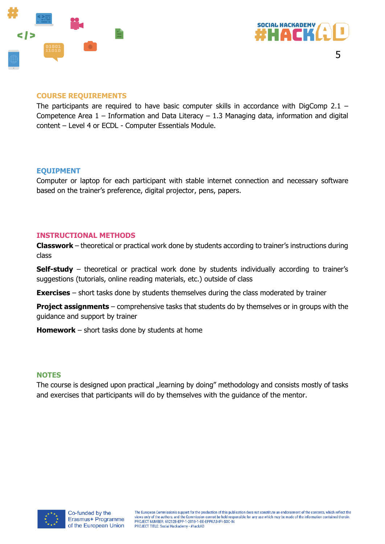



#### <span id="page-5-0"></span>**COURSE REQUIREMENTS**

The participants are required to have basic computer skills in accordance with DigComp 2.1 – Competence Area  $1$  – Information and Data Literacy – 1.3 Managing data, information and digital content – Level 4 or ECDL - Computer Essentials Module.

#### <span id="page-5-1"></span>**EQUIPMENT**

Computer or laptop for each participant with stable internet connection and necessary software based on the trainer's preference, digital projector, pens, papers.

#### <span id="page-5-2"></span>**INSTRUCTIONAL METHODS**

**Classwork** – theoretical or practical work done by students according to trainer's instructions during class

**Self-study** – theoretical or practical work done by students individually according to trainer's suggestions (tutorials, online reading materials, etc.) outside of class

**Exercises** – short tasks done by students themselves during the class moderated by trainer

**Project assignments** – comprehensive tasks that students do by themselves or in groups with the guidance and support by trainer

**Homework** – short tasks done by students at home

#### <span id="page-5-3"></span>**NOTES**

The course is designed upon practical "learning by doing" methodology and consists mostly of tasks and exercises that participants will do by themselves with the guidance of the mentor.

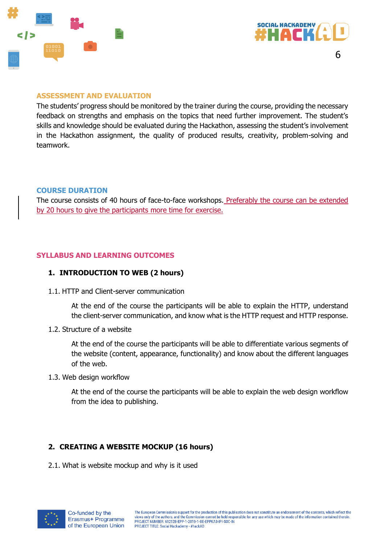



#### <span id="page-6-0"></span>**ASSESSMENT AND EVALUATION**

The students' progress should be monitored by the trainer during the course, providing the necessary feedback on strengths and emphasis on the topics that need further improvement. The student's skills and knowledge should be evaluated during the Hackathon, assessing the student's involvement in the Hackathon assignment, the quality of produced results, creativity, problem-solving and teamwork.

#### <span id="page-6-1"></span>**COURSE DURATION**

The course consists of 40 hours of face-to-face workshops. Preferably the course can be extended by 20 hours to give the participants more time for exercise.

#### <span id="page-6-3"></span><span id="page-6-2"></span>**SYLLABUS AND LEARNING OUTCOMES**

#### **1. INTRODUCTION TO WEB (2 hours)**

1.1. HTTP and Client-server communication

At the end of the course the participants will be able to explain the HTTP, understand the client-server communication, and know what is the HTTP request and HTTP response.

1.2. Structure of a website

At the end of the course the participants will be able to differentiate various segments of the website (content, appearance, functionality) and know about the different languages of the web.

1.3. Web design workflow

At the end of the course the participants will be able to explain the web design workflow from the idea to publishing.

### <span id="page-6-4"></span>**2. CREATING A WEBSITE MOCKUP (16 hours)**

2.1. What is website mockup and why is it used

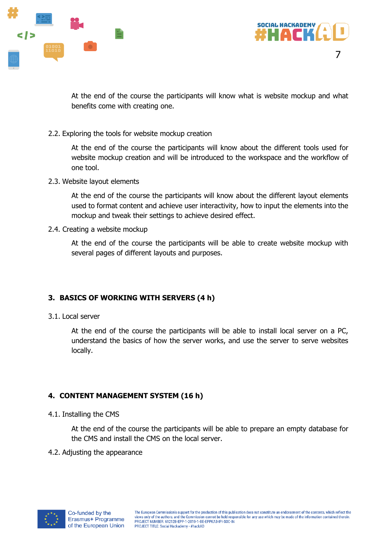



7

At the end of the course the participants will know what is website mockup and what benefits come with creating one.

2.2. Exploring the tools for website mockup creation

At the end of the course the participants will know about the different tools used for website mockup creation and will be introduced to the workspace and the workflow of one tool.

2.3. Website layout elements

At the end of the course the participants will know about the different layout elements used to format content and achieve user interactivity, how to input the elements into the mockup and tweak their settings to achieve desired effect.

2.4. Creating a website mockup

At the end of the course the participants will be able to create website mockup with several pages of different layouts and purposes.

# <span id="page-7-0"></span>**3. BASICS OF WORKING WITH SERVERS (4 h)**

3.1. Local server

At the end of the course the participants will be able to install local server on a PC, understand the basics of how the server works, and use the server to serve websites locally.

# <span id="page-7-1"></span>**4. CONTENT MANAGEMENT SYSTEM (16 h)**

4.1. Installing the CMS

At the end of the course the participants will be able to prepare an empty database for the CMS and install the CMS on the local server.

4.2. Adjusting the appearance